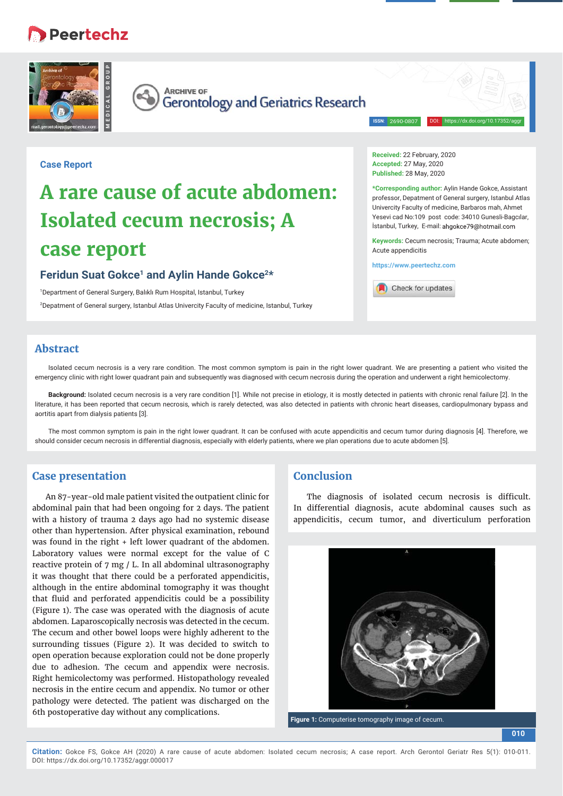## **B** Peertechz





**ARCHIVE OF** Gerontology and Geriatrics Research

**ISSN:** 2690-080

DOI: https://dx.doi.org/10.17352/aggr

#### **Case Report**

# **A rare cause of acute abdomen: Isolated cecum necrosis; A case report**

#### Feridun Suat Gokce<sup>1</sup> and Aylin Hande Gokce<sup>2\*</sup>

1 Department of General Surgery, Balıklı Rum Hospital, Istanbul, Turkey 2 Depatment of General surgery, Istanbul Atlas Univercity Faculty of medicine, Istanbul, Turkey **Received:** 22 February, 2020 **Accepted:** 27 May, 2020 **Published:** 28 May, 2020

**\*Corresponding author:** Aylin Hande Gokce, Assistant professor, Depatment of General surgery, Istanbul Atlas Univercity Faculty of medicine, Barbaros mah, Ahmet Yesevi cad No:109 post code: 34010 Gunesli-Bagcılar, İstanbul, Turkey, E-mail: ahgokce79@hotmail.com

**Keywords:** Cecum necrosis; Trauma; Acute abdomen; Acute appendicitis

**https://www.peertechz.com**



### **Abstract**

Isolated cecum necrosis is a very rare condition. The most common symptom is pain in the right lower quadrant. We are presenting a patient who visited the emergency clinic with right lower quadrant pain and subsequently was diagnosed with cecum necrosis during the operation and underwent a right hemicolectomy.

**Background:** Isolated cecum necrosis is a very rare condition [1]. While not precise in etiology, it is mostly detected in patients with chronic renal failure [2]. In the literature, it has been reported that cecum necrosis, which is rarely detected, was also detected in patients with chronic heart diseases, cardiopulmonary bypass and aortitis apart from dialysis patients [3].

The most common symptom is pain in the right lower quadrant. It can be confused with acute appendicitis and cecum tumor during diagnosis [4]. Therefore, we should consider cecum necrosis in differential diagnosis, especially with elderly patients, where we plan operations due to acute abdomen [5].

#### **Case presentation**

An 87-year-old male patient visited the outpatient clinic for abdominal pain that had been ongoing for 2 days. The patient with a history of trauma 2 days ago had no systemic disease other than hypertension. After physical examination, rebound was found in the right + left lower quadrant of the abdomen. Laboratory values were normal except for the value of C reactive protein of 7 mg / L. In all abdominal ultrasonography it was thought that there could be a perforated appendicitis, although in the entire abdominal tomography it was thought that fluid and perforated appendicitis could be a possibility (Figure 1). The case was operated with the diagnosis of acute abdomen. Laparoscopically necrosis was detected in the cecum. The cecum and other bowel loops were highly adherent to the surrounding tissues (Figure 2). It was decided to switch to open operation because exploration could not be done properly due to adhesion. The cecum and appendix were necrosis. Right hemicolectomy was performed. Histopathology revealed necrosis in the entire cecum and appendix. No tumor or other pathology were detected. The patient was discharged on the 6th postoperative day without any complications.

#### **Conclusion**

The diagnosis of isolated cecum necrosis is difficult. In differential diagnosis, acute abdominal causes such as appendicitis, cecum tumor, and diverticulum perforation



**Figure 1:** Computerise tomography image of cecum.

**010**

**Citation:** Gokce FS, Gokce AH (2020) A rare cause of acute abdomen: Isolated cecum necrosis; A case report. Arch Gerontol Geriatr Res 5(1): 010-011. DOI: https://dx.doi.org/10.17352/aggr.000017